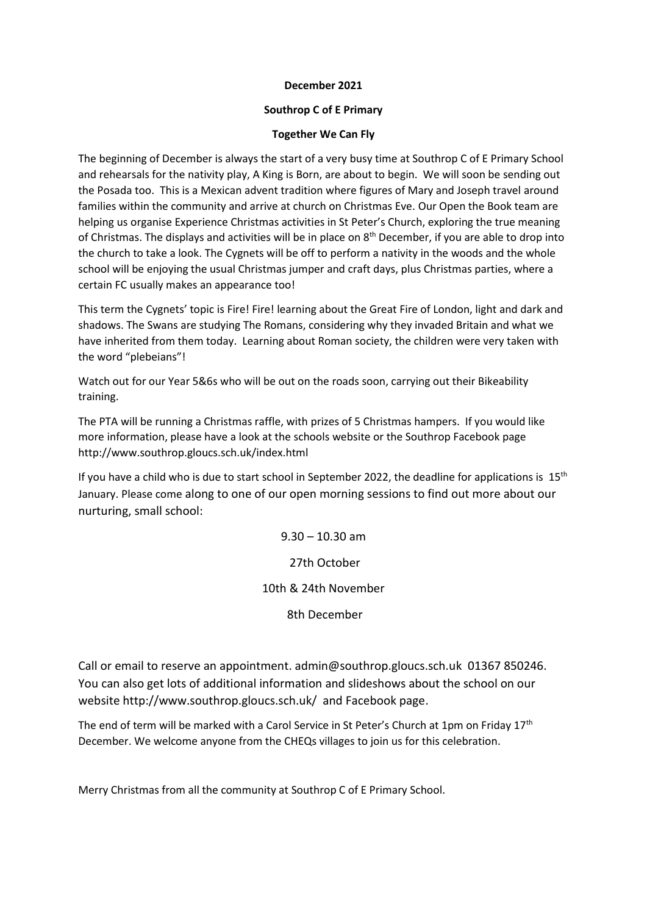## **December 2021**

## **Southrop C of E Primary**

## **Together We Can Fly**

The beginning of December is always the start of a very busy time at Southrop C of E Primary School and rehearsals for the nativity play, A King is Born, are about to begin. We will soon be sending out the Posada too. This is a Mexican advent tradition where figures of Mary and Joseph travel around families within the community and arrive at church on Christmas Eve. Our Open the Book team are helping us organise Experience Christmas activities in St Peter's Church, exploring the true meaning of Christmas. The displays and activities will be in place on  $8<sup>th</sup>$  December, if you are able to drop into the church to take a look. The Cygnets will be off to perform a nativity in the woods and the whole school will be enjoying the usual Christmas jumper and craft days, plus Christmas parties, where a certain FC usually makes an appearance too!

This term the Cygnets' topic is Fire! Fire! learning about the Great Fire of London, light and dark and shadows. The Swans are studying The Romans, considering why they invaded Britain and what we have inherited from them today. Learning about Roman society, the children were very taken with the word "plebeians"!

Watch out for our Year 5&6s who will be out on the roads soon, carrying out their Bikeability training.

The PTA will be running a Christmas raffle, with prizes of 5 Christmas hampers. If you would like more information, please have a look at the schools website or the Southrop Facebook page http://www.southrop.gloucs.sch.uk/index.html

If you have a child who is due to start school in September 2022, the deadline for applications is  $15<sup>th</sup>$ January. Please come along to one of our open morning sessions to find out more about our nurturing, small school:

> $9.30 - 10.30$  am 27th October 10th & 24th November 8th December

Call or email to reserve an appointment. admin@southrop.gloucs.sch.uk 01367 850246. You can also get lots of additional information and slideshows about the school on our website http://www.southrop.gloucs.sch.uk/ and Facebook page.

The end of term will be marked with a Carol Service in St Peter's Church at 1pm on Friday 17<sup>th</sup> December. We welcome anyone from the CHEQs villages to join us for this celebration.

Merry Christmas from all the community at Southrop C of E Primary School.